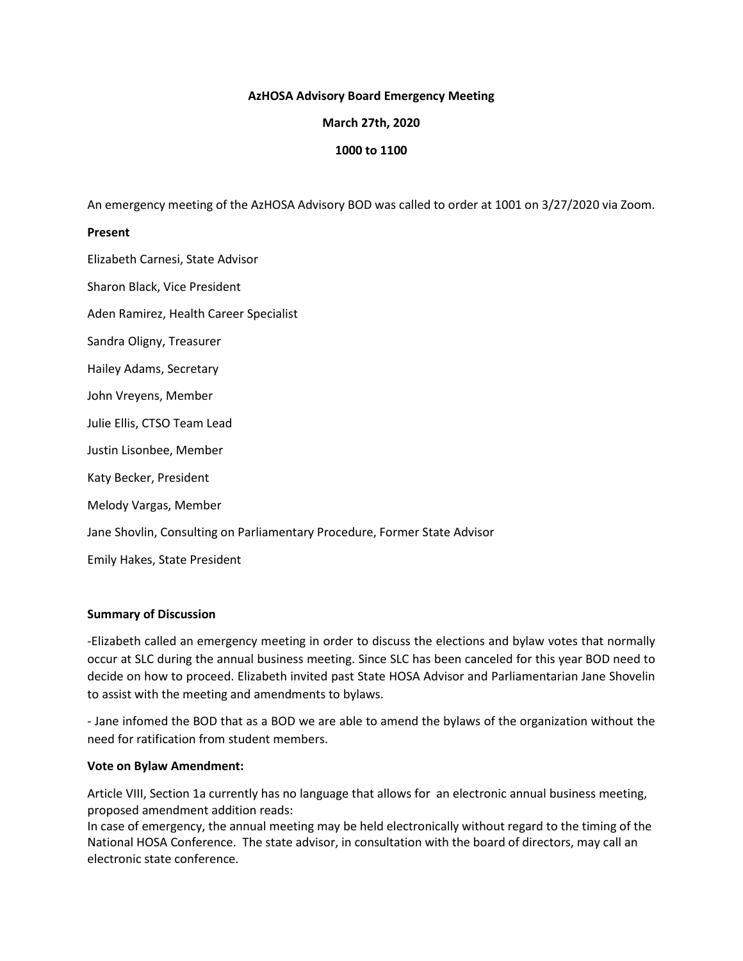## **AzHOSA Advisory Board Emergency Meeting**

## **March 27th, 2020**

## **1000 to 1100**

An emergency meeting of the AzHOSA Advisory BOD was called to order at 1001 on 3/27/2020 via Zoom.

### **Present**

Elizabeth Carnesi, State Advisor Sharon Black, Vice President Aden Ramirez, Health Career Specialist Sandra Oligny, Treasurer Hailey Adams, Secretary John Vreyens, Member Julie Ellis, CTSO Team Lead Justin Lisonbee, Member Katy Becker, President Melody Vargas, Member Jane Shovlin, Consulting on Parliamentary Procedure, Former State Advisor Emily Hakes, State President

## **Summary of Discussion**

-Elizabeth called an emergency meeting in order to discuss the elections and bylaw votes that normally occur at SLC during the annual business meeting. Since SLC has been canceled for this year BOD need to decide on how to proceed. Elizabeth invited past State HOSA Advisor and Parliamentarian Jane Shovelin to assist with the meeting and amendments to bylaws.

- Jane infomed the BOD that as a BOD we are able to amend the bylaws of the organization without the need for ratification from student members.

#### **Vote on Bylaw Amendment:**

Article VIII, Section 1a currently has no language that allows for an electronic annual business meeting, proposed amendment addition reads:

In case of emergency, the annual meeting may be held electronically without regard to the timing of the National HOSA Conference. The state advisor, in consultation with the board of directors, may call an electronic state conference.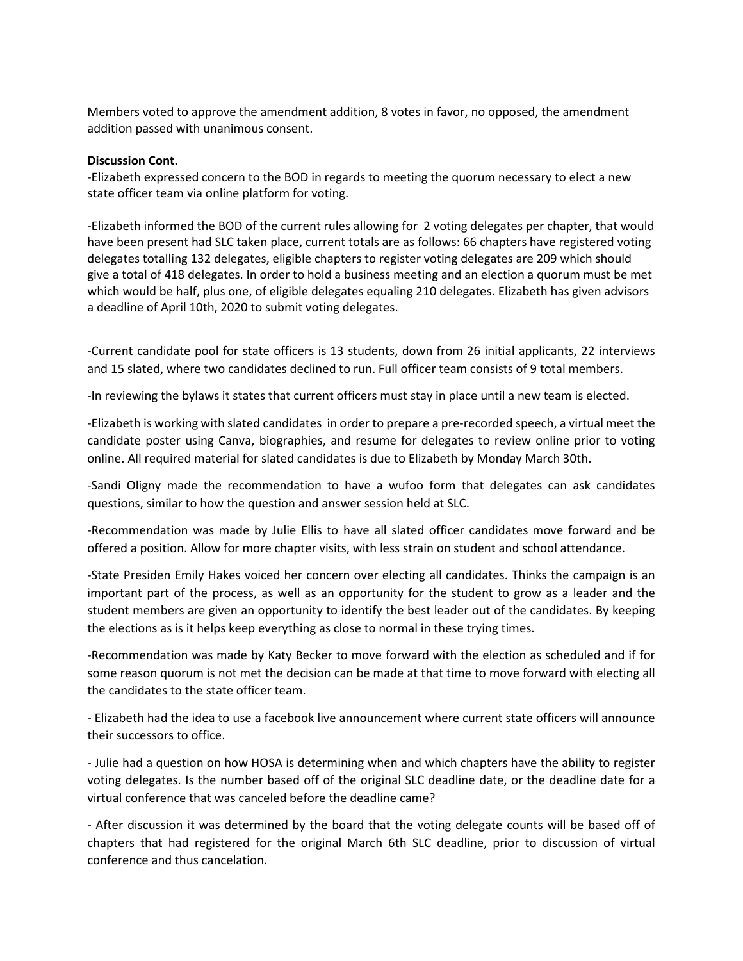Members voted to approve the amendment addition, 8 votes in favor, no opposed, the amendment addition passed with unanimous consent.

### **Discussion Cont.**

-Elizabeth expressed concern to the BOD in regards to meeting the quorum necessary to elect a new state officer team via online platform for voting.

-Elizabeth informed the BOD of the current rules allowing for 2 voting delegates per chapter, that would have been present had SLC taken place, current totals are as follows: 66 chapters have registered voting delegates totalling 132 delegates, eligible chapters to register voting delegates are 209 which should give a total of 418 delegates. In order to hold a business meeting and an election a quorum must be met which would be half, plus one, of eligible delegates equaling 210 delegates. Elizabeth has given advisors a deadline of April 10th, 2020 to submit voting delegates.

-Current candidate pool for state officers is 13 students, down from 26 initial applicants, 22 interviews and 15 slated, where two candidates declined to run. Full officer team consists of 9 total members.

-In reviewing the bylaws it states that current officers must stay in place until a new team is elected.

-Elizabeth is working with slated candidates in order to prepare a pre-recorded speech, a virtual meet the candidate poster using Canva, biographies, and resume for delegates to review online prior to voting online. All required material for slated candidates is due to Elizabeth by Monday March 30th.

-Sandi Oligny made the recommendation to have a wufoo form that delegates can ask candidates questions, similar to how the question and answer session held at SLC.

-Recommendation was made by Julie Ellis to have all slated officer candidates move forward and be offered a position. Allow for more chapter visits, with less strain on student and school attendance.

-State Presiden Emily Hakes voiced her concern over electing all candidates. Thinks the campaign is an important part of the process, as well as an opportunity for the student to grow as a leader and the student members are given an opportunity to identify the best leader out of the candidates. By keeping the elections as is it helps keep everything as close to normal in these trying times.

-Recommendation was made by Katy Becker to move forward with the election as scheduled and if for some reason quorum is not met the decision can be made at that time to move forward with electing all the candidates to the state officer team.

- Elizabeth had the idea to use a facebook live announcement where current state officers will announce their successors to office.

- Julie had a question on how HOSA is determining when and which chapters have the ability to register voting delegates. Is the number based off of the original SLC deadline date, or the deadline date for a virtual conference that was canceled before the deadline came?

- After discussion it was determined by the board that the voting delegate counts will be based off of chapters that had registered for the original March 6th SLC deadline, prior to discussion of virtual conference and thus cancelation.